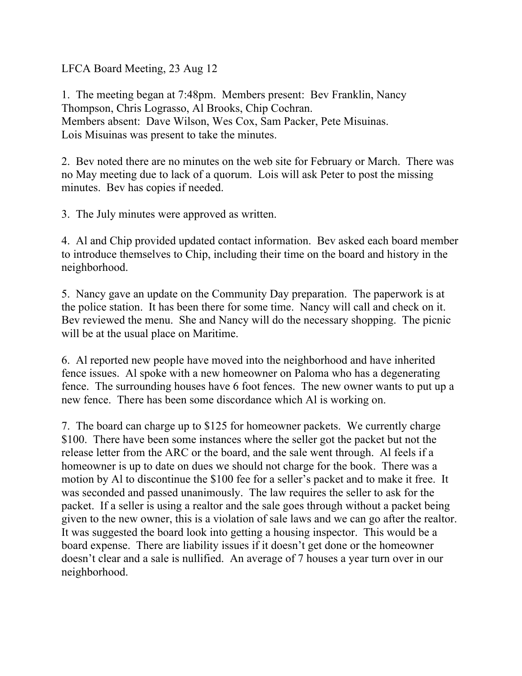LFCA Board Meeting, 23 Aug 12

1. The meeting began at 7:48pm. Members present: Bev Franklin, Nancy Thompson, Chris Lograsso, Al Brooks, Chip Cochran. Members absent: Dave Wilson, Wes Cox, Sam Packer, Pete Misuinas. Lois Misuinas was present to take the minutes.

2. Bev noted there are no minutes on the web site for February or March. There was no May meeting due to lack of a quorum. Lois will ask Peter to post the missing minutes. Bev has copies if needed.

3. The July minutes were approved as written.

4. Al and Chip provided updated contact information. Bev asked each board member to introduce themselves to Chip, including their time on the board and history in the neighborhood.

5. Nancy gave an update on the Community Day preparation. The paperwork is at the police station. It has been there for some time. Nancy will call and check on it. Bev reviewed the menu. She and Nancy will do the necessary shopping. The picnic will be at the usual place on Maritime.

6. Al reported new people have moved into the neighborhood and have inherited fence issues. Al spoke with a new homeowner on Paloma who has a degenerating fence. The surrounding houses have 6 foot fences. The new owner wants to put up a new fence. There has been some discordance which Al is working on.

7. The board can charge up to \$125 for homeowner packets. We currently charge \$100. There have been some instances where the seller got the packet but not the release letter from the ARC or the board, and the sale went through. Al feels if a homeowner is up to date on dues we should not charge for the book. There was a motion by Al to discontinue the \$100 fee for a seller's packet and to make it free. It was seconded and passed unanimously. The law requires the seller to ask for the packet. If a seller is using a realtor and the sale goes through without a packet being given to the new owner, this is a violation of sale laws and we can go after the realtor. It was suggested the board look into getting a housing inspector. This would be a board expense. There are liability issues if it doesn't get done or the homeowner doesn't clear and a sale is nullified. An average of 7 houses a year turn over in our neighborhood.